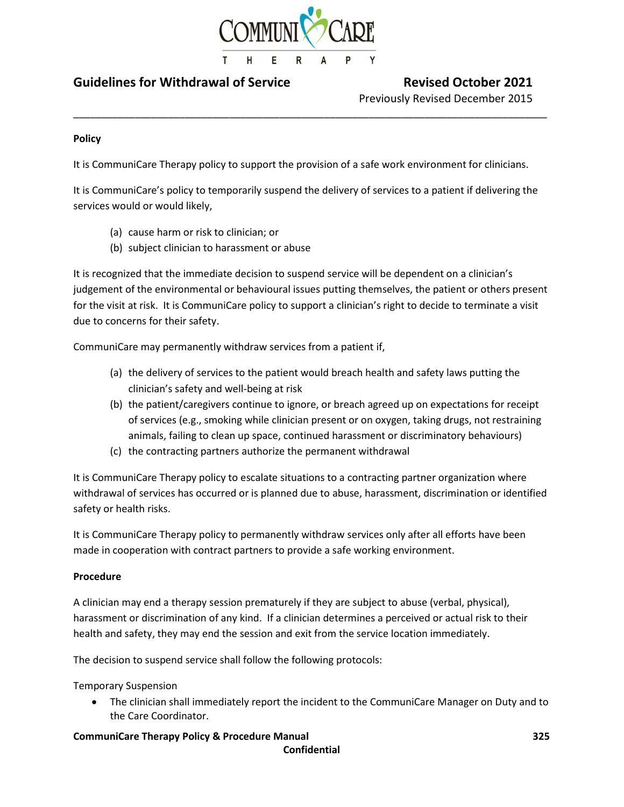

# Guidelines for Withdrawal of Service Revised October 2021

Previously Revised December 2015

# Policy

It is CommuniCare Therapy policy to support the provision of a safe work environment for clinicians.

\_\_\_\_\_\_\_\_\_\_\_\_\_\_\_\_\_\_\_\_\_\_\_\_\_\_\_\_\_\_\_\_\_\_\_\_\_\_\_\_\_\_\_\_\_\_\_\_\_\_\_\_\_\_\_\_\_\_\_\_\_\_\_\_\_\_\_\_\_\_\_\_\_\_\_\_\_\_\_\_\_\_\_\_\_

It is CommuniCare's policy to temporarily suspend the delivery of services to a patient if delivering the services would or would likely,

- (a) cause harm or risk to clinician; or
- (b) subject clinician to harassment or abuse

It is recognized that the immediate decision to suspend service will be dependent on a clinician's judgement of the environmental or behavioural issues putting themselves, the patient or others present for the visit at risk. It is CommuniCare policy to support a clinician's right to decide to terminate a visit due to concerns for their safety.

CommuniCare may permanently withdraw services from a patient if,

- (a) the delivery of services to the patient would breach health and safety laws putting the clinician's safety and well-being at risk
- (b) the patient/caregivers continue to ignore, or breach agreed up on expectations for receipt of services (e.g., smoking while clinician present or on oxygen, taking drugs, not restraining animals, failing to clean up space, continued harassment or discriminatory behaviours)
- (c) the contracting partners authorize the permanent withdrawal

It is CommuniCare Therapy policy to escalate situations to a contracting partner organization where withdrawal of services has occurred or is planned due to abuse, harassment, discrimination or identified safety or health risks.

It is CommuniCare Therapy policy to permanently withdraw services only after all efforts have been made in cooperation with contract partners to provide a safe working environment.

# Procedure

A clinician may end a therapy session prematurely if they are subject to abuse (verbal, physical), harassment or discrimination of any kind. If a clinician determines a perceived or actual risk to their health and safety, they may end the session and exit from the service location immediately.

The decision to suspend service shall follow the following protocols:

Temporary Suspension

 The clinician shall immediately report the incident to the CommuniCare Manager on Duty and to the Care Coordinator.

# CommuniCare Therapy Policy & Procedure Manual 325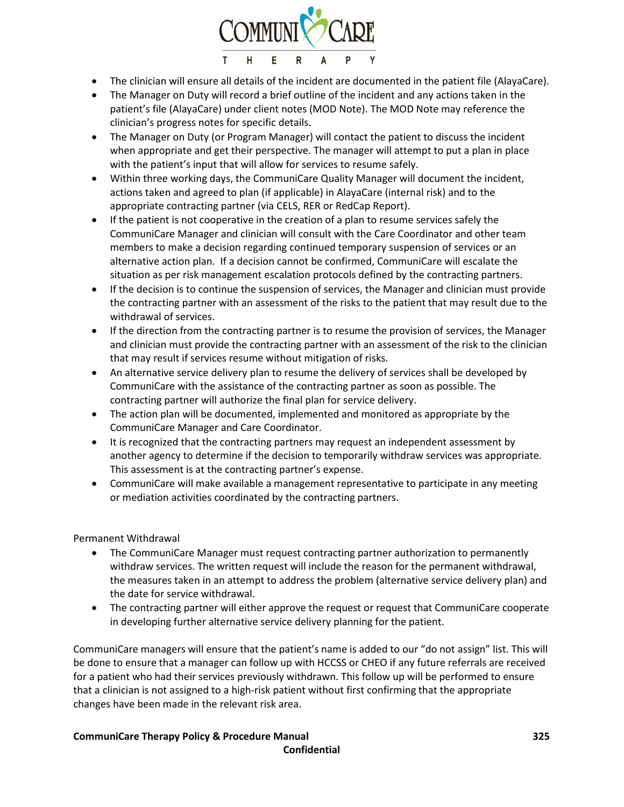

- The clinician will ensure all details of the incident are documented in the patient file (AlayaCare).
- The Manager on Duty will record a brief outline of the incident and any actions taken in the patient's file (AlayaCare) under client notes (MOD Note). The MOD Note may reference the clinician's progress notes for specific details.
- The Manager on Duty (or Program Manager) will contact the patient to discuss the incident when appropriate and get their perspective. The manager will attempt to put a plan in place with the patient's input that will allow for services to resume safely.
- Within three working days, the CommuniCare Quality Manager will document the incident, actions taken and agreed to plan (if applicable) in AlayaCare (internal risk) and to the appropriate contracting partner (via CELS, RER or RedCap Report).
- If the patient is not cooperative in the creation of a plan to resume services safely the CommuniCare Manager and clinician will consult with the Care Coordinator and other team members to make a decision regarding continued temporary suspension of services or an alternative action plan. If a decision cannot be confirmed, CommuniCare will escalate the situation as per risk management escalation protocols defined by the contracting partners.
- If the decision is to continue the suspension of services, the Manager and clinician must provide the contracting partner with an assessment of the risks to the patient that may result due to the withdrawal of services.
- If the direction from the contracting partner is to resume the provision of services, the Manager and clinician must provide the contracting partner with an assessment of the risk to the clinician that may result if services resume without mitigation of risks.
- An alternative service delivery plan to resume the delivery of services shall be developed by CommuniCare with the assistance of the contracting partner as soon as possible. The contracting partner will authorize the final plan for service delivery.
- The action plan will be documented, implemented and monitored as appropriate by the CommuniCare Manager and Care Coordinator.
- It is recognized that the contracting partners may request an independent assessment by another agency to determine if the decision to temporarily withdraw services was appropriate. This assessment is at the contracting partner's expense.
- CommuniCare will make available a management representative to participate in any meeting or mediation activities coordinated by the contracting partners.

Permanent Withdrawal

- The CommuniCare Manager must request contracting partner authorization to permanently withdraw services. The written request will include the reason for the permanent withdrawal, the measures taken in an attempt to address the problem (alternative service delivery plan) and the date for service withdrawal.
- The contracting partner will either approve the request or request that CommuniCare cooperate in developing further alternative service delivery planning for the patient.

CommuniCare managers will ensure that the patient's name is added to our "do not assign" list. This will be done to ensure that a manager can follow up with HCCSS or CHEO if any future referrals are received for a patient who had their services previously withdrawn. This follow up will be performed to ensure that a clinician is not assigned to a high-risk patient without first confirming that the appropriate changes have been made in the relevant risk area.

# CommuniCare Therapy Policy & Procedure Manual 325